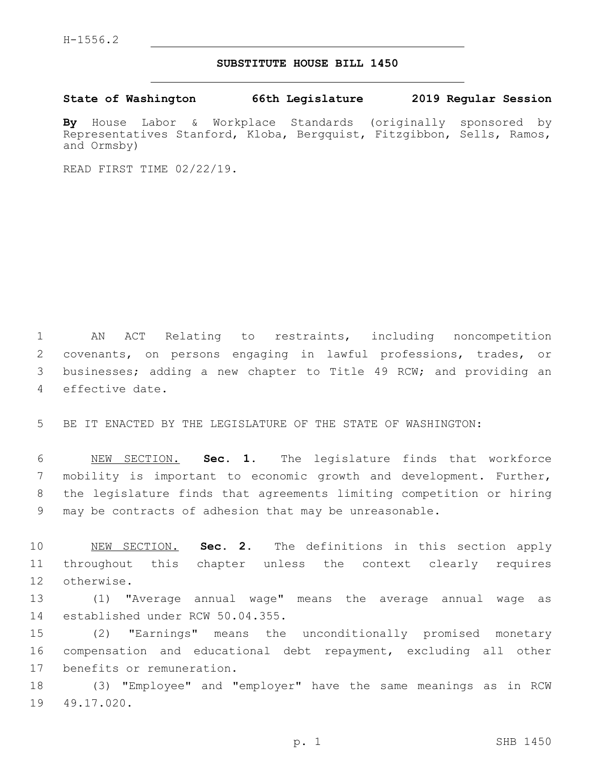## **SUBSTITUTE HOUSE BILL 1450**

**State of Washington 66th Legislature 2019 Regular Session**

**By** House Labor & Workplace Standards (originally sponsored by Representatives Stanford, Kloba, Bergquist, Fitzgibbon, Sells, Ramos, and Ormsby)

READ FIRST TIME 02/22/19.

 AN ACT Relating to restraints, including noncompetition covenants, on persons engaging in lawful professions, trades, or businesses; adding a new chapter to Title 49 RCW; and providing an 4 effective date.

5 BE IT ENACTED BY THE LEGISLATURE OF THE STATE OF WASHINGTON:

 NEW SECTION. **Sec. 1.** The legislature finds that workforce mobility is important to economic growth and development. Further, the legislature finds that agreements limiting competition or hiring may be contracts of adhesion that may be unreasonable.

10 NEW SECTION. **Sec. 2.** The definitions in this section apply 11 throughout this chapter unless the context clearly requires 12 otherwise.

13 (1) "Average annual wage" means the average annual wage as 14 established under RCW 50.04.355.

15 (2) "Earnings" means the unconditionally promised monetary 16 compensation and educational debt repayment, excluding all other 17 benefits or remuneration.

18 (3) "Employee" and "employer" have the same meanings as in RCW 19 49.17.020.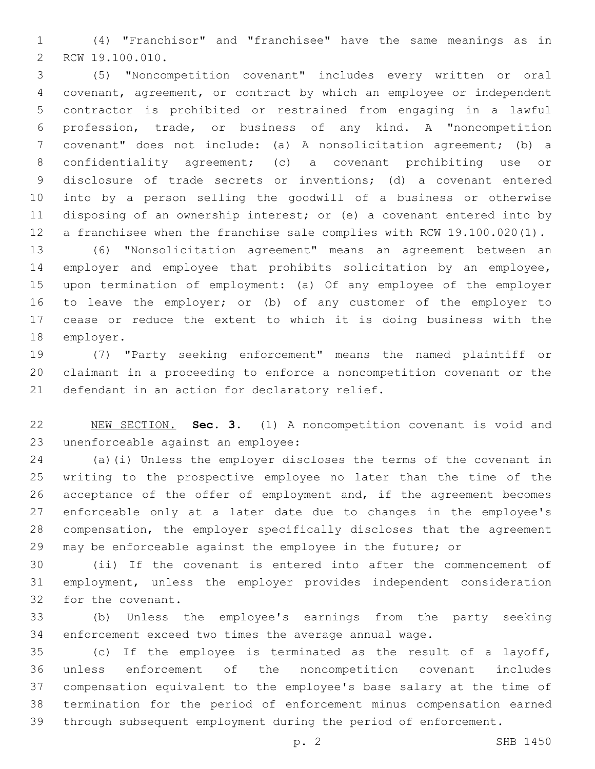(4) "Franchisor" and "franchisee" have the same meanings as in 2 RCW 19.100.010.

 (5) "Noncompetition covenant" includes every written or oral covenant, agreement, or contract by which an employee or independent contractor is prohibited or restrained from engaging in a lawful profession, trade, or business of any kind. A "noncompetition covenant" does not include: (a) A nonsolicitation agreement; (b) a confidentiality agreement; (c) a covenant prohibiting use or disclosure of trade secrets or inventions; (d) a covenant entered into by a person selling the goodwill of a business or otherwise disposing of an ownership interest; or (e) a covenant entered into by a franchisee when the franchise sale complies with RCW 19.100.020(1).

 (6) "Nonsolicitation agreement" means an agreement between an employer and employee that prohibits solicitation by an employee, upon termination of employment: (a) Of any employee of the employer to leave the employer; or (b) of any customer of the employer to cease or reduce the extent to which it is doing business with the 18 employer.

 (7) "Party seeking enforcement" means the named plaintiff or claimant in a proceeding to enforce a noncompetition covenant or the 21 defendant in an action for declaratory relief.

 NEW SECTION. **Sec. 3.** (1) A noncompetition covenant is void and unenforceable against an employee:

 (a)(i) Unless the employer discloses the terms of the covenant in writing to the prospective employee no later than the time of the acceptance of the offer of employment and, if the agreement becomes enforceable only at a later date due to changes in the employee's compensation, the employer specifically discloses that the agreement may be enforceable against the employee in the future; or

 (ii) If the covenant is entered into after the commencement of employment, unless the employer provides independent consideration 32 for the covenant.

 (b) Unless the employee's earnings from the party seeking enforcement exceed two times the average annual wage.

 (c) If the employee is terminated as the result of a layoff, unless enforcement of the noncompetition covenant includes compensation equivalent to the employee's base salary at the time of termination for the period of enforcement minus compensation earned through subsequent employment during the period of enforcement.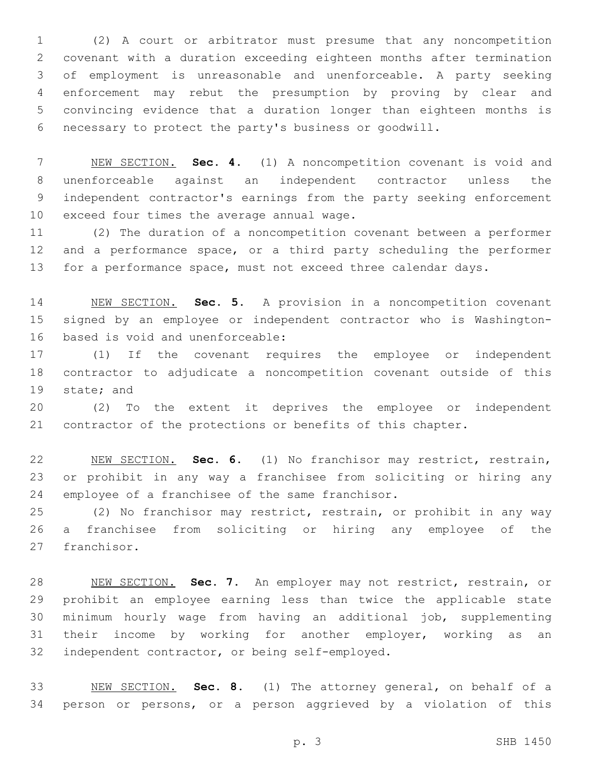(2) A court or arbitrator must presume that any noncompetition covenant with a duration exceeding eighteen months after termination of employment is unreasonable and unenforceable. A party seeking enforcement may rebut the presumption by proving by clear and convincing evidence that a duration longer than eighteen months is necessary to protect the party's business or goodwill.

 NEW SECTION. **Sec. 4.** (1) A noncompetition covenant is void and unenforceable against an independent contractor unless the independent contractor's earnings from the party seeking enforcement exceed four times the average annual wage.

 (2) The duration of a noncompetition covenant between a performer 12 and a performance space, or a third party scheduling the performer for a performance space, must not exceed three calendar days.

 NEW SECTION. **Sec. 5.** A provision in a noncompetition covenant signed by an employee or independent contractor who is Washington-based is void and unenforceable:

 (1) If the covenant requires the employee or independent contractor to adjudicate a noncompetition covenant outside of this 19 state; and

 (2) To the extent it deprives the employee or independent contractor of the protections or benefits of this chapter.

 NEW SECTION. **Sec. 6.** (1) No franchisor may restrict, restrain, or prohibit in any way a franchisee from soliciting or hiring any employee of a franchisee of the same franchisor.

 (2) No franchisor may restrict, restrain, or prohibit in any way a franchisee from soliciting or hiring any employee of the 27 franchisor.

 NEW SECTION. **Sec. 7.** An employer may not restrict, restrain, or prohibit an employee earning less than twice the applicable state minimum hourly wage from having an additional job, supplementing their income by working for another employer, working as an independent contractor, or being self-employed.

 NEW SECTION. **Sec. 8.** (1) The attorney general, on behalf of a person or persons, or a person aggrieved by a violation of this

p. 3 SHB 1450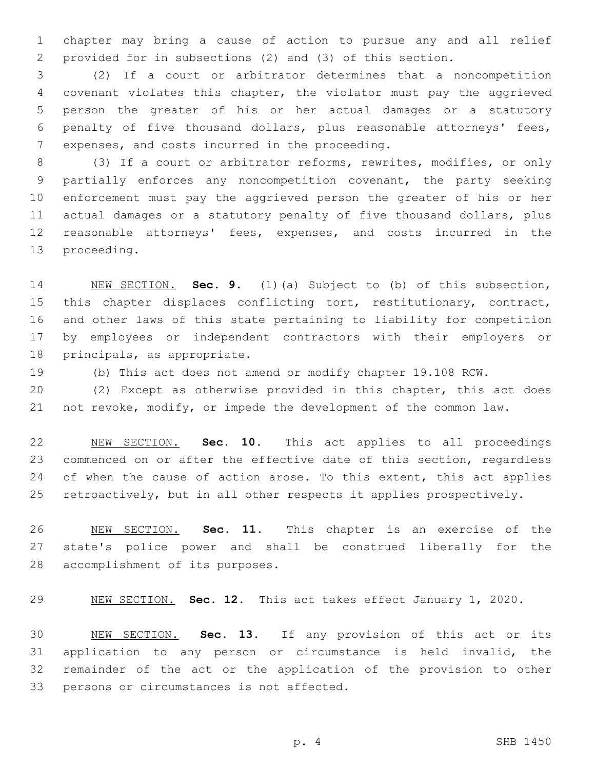chapter may bring a cause of action to pursue any and all relief provided for in subsections (2) and (3) of this section.

 (2) If a court or arbitrator determines that a noncompetition covenant violates this chapter, the violator must pay the aggrieved person the greater of his or her actual damages or a statutory penalty of five thousand dollars, plus reasonable attorneys' fees, 7 expenses, and costs incurred in the proceeding.

8 (3) If a court or arbitrator reforms, rewrites, modifies, or only partially enforces any noncompetition covenant, the party seeking enforcement must pay the aggrieved person the greater of his or her actual damages or a statutory penalty of five thousand dollars, plus reasonable attorneys' fees, expenses, and costs incurred in the 13 proceeding.

 NEW SECTION. **Sec. 9.** (1)(a) Subject to (b) of this subsection, 15 this chapter displaces conflicting tort, restitutionary, contract, and other laws of this state pertaining to liability for competition by employees or independent contractors with their employers or principals, as appropriate.

(b) This act does not amend or modify chapter 19.108 RCW.

 (2) Except as otherwise provided in this chapter, this act does not revoke, modify, or impede the development of the common law.

 NEW SECTION. **Sec. 10.** This act applies to all proceedings 23 commenced on or after the effective date of this section, regardless 24 of when the cause of action arose. To this extent, this act applies retroactively, but in all other respects it applies prospectively.

 NEW SECTION. **Sec. 11.** This chapter is an exercise of the state's police power and shall be construed liberally for the accomplishment of its purposes.

NEW SECTION. **Sec. 12.** This act takes effect January 1, 2020.

 NEW SECTION. **Sec. 13.** If any provision of this act or its application to any person or circumstance is held invalid, the remainder of the act or the application of the provision to other persons or circumstances is not affected.